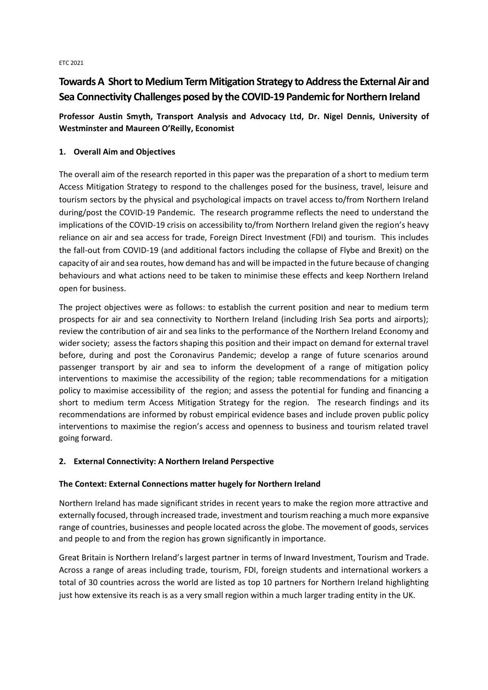ETC 2021

# **Towards A Short to Medium Term Mitigation Strategy to Address the External Air and Sea Connectivity Challenges posed by the COVID-19 Pandemic for Northern Ireland**

**Professor Austin Smyth, Transport Analysis and Advocacy Ltd, Dr. Nigel Dennis, University of Westminster and Maureen O'Reilly, Economist**

# **1. Overall Aim and Objectives**

The overall aim of the research reported in this paper was the preparation of a short to medium term Access Mitigation Strategy to respond to the challenges posed for the business, travel, leisure and tourism sectors by the physical and psychological impacts on travel access to/from Northern Ireland during/post the COVID-19 Pandemic. The research programme reflects the need to understand the implications of the COVID-19 crisis on accessibility to/from Northern Ireland given the region's heavy reliance on air and sea access for trade, Foreign Direct Investment (FDI) and tourism. This includes the fall-out from COVID-19 (and additional factors including the collapse of Flybe and Brexit) on the capacity of air and sea routes, how demand has and will be impacted in the future because of changing behaviours and what actions need to be taken to minimise these effects and keep Northern Ireland open for business.

The project objectives were as follows: to establish the current position and near to medium term prospects for air and sea connectivity to Northern Ireland (including Irish Sea ports and airports); review the contribution of air and sea links to the performance of the Northern Ireland Economy and wider society; assess the factors shaping this position and their impact on demand for external travel before, during and post the Coronavirus Pandemic; develop a range of future scenarios around passenger transport by air and sea to inform the development of a range of mitigation policy interventions to maximise the accessibility of the region; table recommendations for a mitigation policy to maximise accessibility of the region; and assess the potential for funding and financing a short to medium term Access Mitigation Strategy for the region. The research findings and its recommendations are informed by robust empirical evidence bases and include proven public policy interventions to maximise the region's access and openness to business and tourism related travel going forward.

## **2. External Connectivity: A Northern Ireland Perspective**

## **The Context: External Connections matter hugely for Northern Ireland**

Northern Ireland has made significant strides in recent years to make the region more attractive and externally focused, through increased trade, investment and tourism reaching a much more expansive range of countries, businesses and people located across the globe. The movement of goods, services and people to and from the region has grown significantly in importance.

Great Britain is Northern Ireland's largest partner in terms of Inward Investment, Tourism and Trade. Across a range of areas including trade, tourism, FDI, foreign students and international workers a total of 30 countries across the world are listed as top 10 partners for Northern Ireland highlighting just how extensive its reach is as a very small region within a much larger trading entity in the UK.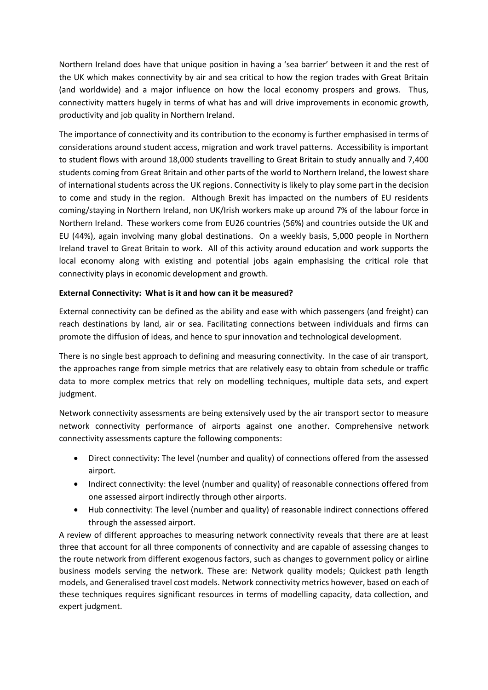Northern Ireland does have that unique position in having a 'sea barrier' between it and the rest of the UK which makes connectivity by air and sea critical to how the region trades with Great Britain (and worldwide) and a major influence on how the local economy prospers and grows. Thus, connectivity matters hugely in terms of what has and will drive improvements in economic growth, productivity and job quality in Northern Ireland.

The importance of connectivity and its contribution to the economy is further emphasised in terms of considerations around student access, migration and work travel patterns. Accessibility is important to student flows with around 18,000 students travelling to Great Britain to study annually and 7,400 students coming from Great Britain and other parts of the world to Northern Ireland, the lowest share of international students across the UK regions. Connectivity is likely to play some part in the decision to come and study in the region. Although Brexit has impacted on the numbers of EU residents coming/staying in Northern Ireland, non UK/Irish workers make up around 7% of the labour force in Northern Ireland. These workers come from EU26 countries (56%) and countries outside the UK and EU (44%), again involving many global destinations. On a weekly basis, 5,000 people in Northern Ireland travel to Great Britain to work. All of this activity around education and work supports the local economy along with existing and potential jobs again emphasising the critical role that connectivity plays in economic development and growth.

## **External Connectivity: What is it and how can it be measured?**

External connectivity can be defined as the ability and ease with which passengers (and freight) can reach destinations by land, air or sea. Facilitating connections between individuals and firms can promote the diffusion of ideas, and hence to spur innovation and technological development.

There is no single best approach to defining and measuring connectivity. In the case of air transport, the approaches range from simple metrics that are relatively easy to obtain from schedule or traffic data to more complex metrics that rely on modelling techniques, multiple data sets, and expert judgment.

Network connectivity assessments are being extensively used by the air transport sector to measure network connectivity performance of airports against one another. Comprehensive network connectivity assessments capture the following components:

- Direct connectivity: The level (number and quality) of connections offered from the assessed airport.
- Indirect connectivity: the level (number and quality) of reasonable connections offered from one assessed airport indirectly through other airports.
- Hub connectivity: The level (number and quality) of reasonable indirect connections offered through the assessed airport.

A review of different approaches to measuring network connectivity reveals that there are at least three that account for all three components of connectivity and are capable of assessing changes to the route network from different exogenous factors, such as changes to government policy or airline business models serving the network. These are: Network quality models; Quickest path length models, and Generalised travel cost models. Network connectivity metrics however, based on each of these techniques requires significant resources in terms of modelling capacity, data collection, and expert judgment.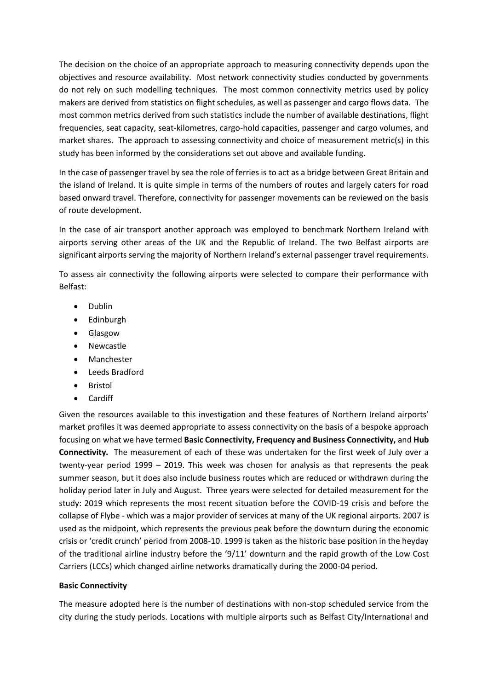The decision on the choice of an appropriate approach to measuring connectivity depends upon the objectives and resource availability. Most network connectivity studies conducted by governments do not rely on such modelling techniques. The most common connectivity metrics used by policy makers are derived from statistics on flight schedules, as well as passenger and cargo flows data. The most common metrics derived from such statistics include the number of available destinations, flight frequencies, seat capacity, seat-kilometres, cargo-hold capacities, passenger and cargo volumes, and market shares. The approach to assessing connectivity and choice of measurement metric(s) in this study has been informed by the considerations set out above and available funding.

In the case of passenger travel by sea the role of ferries is to act as a bridge between Great Britain and the island of Ireland. It is quite simple in terms of the numbers of routes and largely caters for road based onward travel. Therefore, connectivity for passenger movements can be reviewed on the basis of route development.

In the case of air transport another approach was employed to benchmark Northern Ireland with airports serving other areas of the UK and the Republic of Ireland. The two Belfast airports are significant airports serving the majority of Northern Ireland's external passenger travel requirements.

To assess air connectivity the following airports were selected to compare their performance with Belfast:

- Dublin
- Edinburgh
- Glasgow
- Newcastle
- **Manchester**
- Leeds Bradford
- Bristol
- Cardiff

Given the resources available to this investigation and these features of Northern Ireland airports' market profiles it was deemed appropriate to assess connectivity on the basis of a bespoke approach focusing on what we have termed **Basic Connectivity, Frequency and Business Connectivity,** and **Hub Connectivity.** The measurement of each of these was undertaken for the first week of July over a twenty-year period 1999 – 2019. This week was chosen for analysis as that represents the peak summer season, but it does also include business routes which are reduced or withdrawn during the holiday period later in July and August. Three years were selected for detailed measurement for the study: 2019 which represents the most recent situation before the COVID-19 crisis and before the collapse of Flybe - which was a major provider of services at many of the UK regional airports. 2007 is used as the midpoint, which represents the previous peak before the downturn during the economic crisis or 'credit crunch' period from 2008-10. 1999 is taken as the historic base position in the heyday of the traditional airline industry before the '9/11' downturn and the rapid growth of the Low Cost Carriers (LCCs) which changed airline networks dramatically during the 2000-04 period.

#### **Basic Connectivity**

The measure adopted here is the number of destinations with non-stop scheduled service from the city during the study periods. Locations with multiple airports such as Belfast City/International and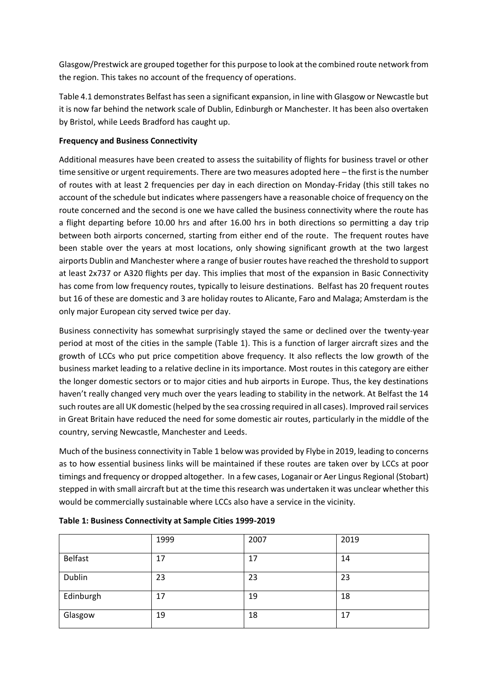Glasgow/Prestwick are grouped together for this purpose to look at the combined route network from the region. This takes no account of the frequency of operations.

Table 4.1 demonstrates Belfast has seen a significant expansion, in line with Glasgow or Newcastle but it is now far behind the network scale of Dublin, Edinburgh or Manchester. It has been also overtaken by Bristol, while Leeds Bradford has caught up.

## **Frequency and Business Connectivity**

Additional measures have been created to assess the suitability of flights for business travel or other time sensitive or urgent requirements. There are two measures adopted here – the first is the number of routes with at least 2 frequencies per day in each direction on Monday-Friday (this still takes no account of the schedule but indicates where passengers have a reasonable choice of frequency on the route concerned and the second is one we have called the business connectivity where the route has a flight departing before 10.00 hrs and after 16.00 hrs in both directions so permitting a day trip between both airports concerned, starting from either end of the route. The frequent routes have been stable over the years at most locations, only showing significant growth at the two largest airports Dublin and Manchester where a range of busier routes have reached the threshold to support at least 2x737 or A320 flights per day. This implies that most of the expansion in Basic Connectivity has come from low frequency routes, typically to leisure destinations. Belfast has 20 frequent routes but 16 of these are domestic and 3 are holiday routes to Alicante, Faro and Malaga; Amsterdam is the only major European city served twice per day.

Business connectivity has somewhat surprisingly stayed the same or declined over the twenty-year period at most of the cities in the sample (Table 1). This is a function of larger aircraft sizes and the growth of LCCs who put price competition above frequency. It also reflects the low growth of the business market leading to a relative decline in its importance. Most routes in this category are either the longer domestic sectors or to major cities and hub airports in Europe. Thus, the key destinations haven't really changed very much over the years leading to stability in the network. At Belfast the 14 such routes are all UK domestic (helped by the sea crossing required in all cases). Improved rail services in Great Britain have reduced the need for some domestic air routes, particularly in the middle of the country, serving Newcastle, Manchester and Leeds.

Much of the business connectivity in Table 1 below was provided by Flybe in 2019, leading to concerns as to how essential business links will be maintained if these routes are taken over by LCCs at poor timings and frequency or dropped altogether. In a few cases, Loganair or Aer Lingus Regional (Stobart) stepped in with small aircraft but at the time this research was undertaken it was unclear whether this would be commercially sustainable where LCCs also have a service in the vicinity.

|           | 1999 | 2007 | 2019 |
|-----------|------|------|------|
| Belfast   | 17   | 17   | 14   |
| Dublin    | 23   | 23   | 23   |
| Edinburgh | 17   | 19   | 18   |
| Glasgow   | 19   | 18   | 17   |

**Table 1: Business Connectivity at Sample Cities 1999-2019**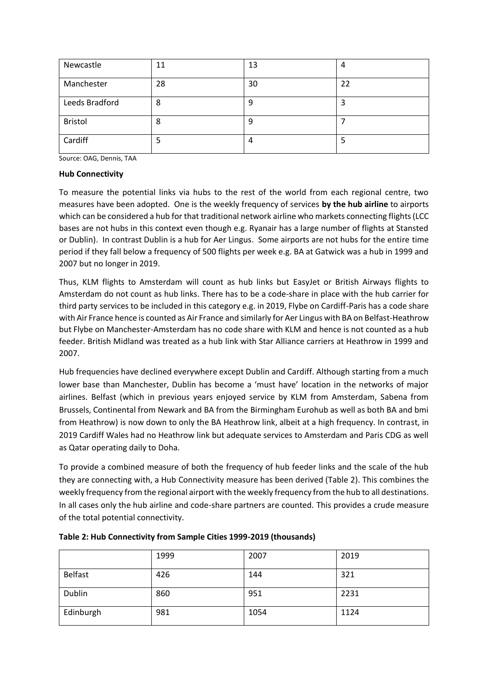| Newcastle      | 11 | 13 | 4  |
|----------------|----|----|----|
| Manchester     | 28 | 30 | 22 |
| Leeds Bradford | 8  | 9  | з  |
| <b>Bristol</b> | 8  | q  |    |
| Cardiff        |    | 4  |    |

Source: OAG, Dennis, TAA

#### **Hub Connectivity**

To measure the potential links via hubs to the rest of the world from each regional centre, two measures have been adopted. One is the weekly frequency of services **by the hub airline** to airports which can be considered a hub for that traditional network airline who markets connecting flights (LCC bases are not hubs in this context even though e.g. Ryanair has a large number of flights at Stansted or Dublin). In contrast Dublin is a hub for Aer Lingus. Some airports are not hubs for the entire time period if they fall below a frequency of 500 flights per week e.g. BA at Gatwick was a hub in 1999 and 2007 but no longer in 2019.

Thus, KLM flights to Amsterdam will count as hub links but EasyJet or British Airways flights to Amsterdam do not count as hub links. There has to be a code-share in place with the hub carrier for third party services to be included in this category e.g. in 2019, Flybe on Cardiff-Paris has a code share with Air France hence is counted as Air France and similarly for Aer Lingus with BA on Belfast-Heathrow but Flybe on Manchester-Amsterdam has no code share with KLM and hence is not counted as a hub feeder. British Midland was treated as a hub link with Star Alliance carriers at Heathrow in 1999 and 2007.

Hub frequencies have declined everywhere except Dublin and Cardiff. Although starting from a much lower base than Manchester, Dublin has become a 'must have' location in the networks of major airlines. Belfast (which in previous years enjoyed service by KLM from Amsterdam, Sabena from Brussels, Continental from Newark and BA from the Birmingham Eurohub as well as both BA and bmi from Heathrow) is now down to only the BA Heathrow link, albeit at a high frequency. In contrast, in 2019 Cardiff Wales had no Heathrow link but adequate services to Amsterdam and Paris CDG as well as Qatar operating daily to Doha.

To provide a combined measure of both the frequency of hub feeder links and the scale of the hub they are connecting with, a Hub Connectivity measure has been derived (Table 2). This combines the weekly frequency from the regional airport with the weekly frequency from the hub to all destinations. In all cases only the hub airline and code-share partners are counted. This provides a crude measure of the total potential connectivity.

|           | 1999 | 2007 | 2019 |
|-----------|------|------|------|
| Belfast   | 426  | 144  | 321  |
| Dublin    | 860  | 951  | 2231 |
| Edinburgh | 981  | 1054 | 1124 |

**Table 2: Hub Connectivity from Sample Cities 1999-2019 (thousands)**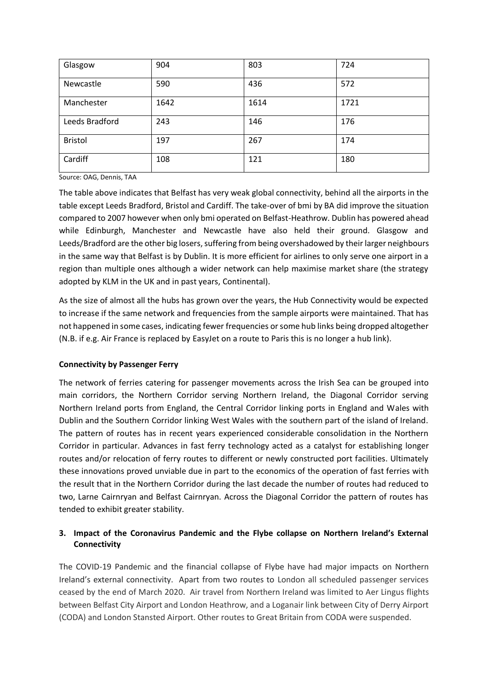| Glasgow        | 904  | 803  | 724  |
|----------------|------|------|------|
| Newcastle      | 590  | 436  | 572  |
| Manchester     | 1642 | 1614 | 1721 |
| Leeds Bradford | 243  | 146  | 176  |
| <b>Bristol</b> | 197  | 267  | 174  |
| Cardiff        | 108  | 121  | 180  |

Source: OAG, Dennis, TAA

The table above indicates that Belfast has very weak global connectivity, behind all the airports in the table except Leeds Bradford, Bristol and Cardiff. The take-over of bmi by BA did improve the situation compared to 2007 however when only bmi operated on Belfast-Heathrow. Dublin has powered ahead while Edinburgh, Manchester and Newcastle have also held their ground. Glasgow and Leeds/Bradford are the other big losers, suffering from being overshadowed by their larger neighbours in the same way that Belfast is by Dublin. It is more efficient for airlines to only serve one airport in a region than multiple ones although a wider network can help maximise market share (the strategy adopted by KLM in the UK and in past years, Continental).

As the size of almost all the hubs has grown over the years, the Hub Connectivity would be expected to increase if the same network and frequencies from the sample airports were maintained. That has not happened in some cases, indicating fewer frequencies or some hub links being dropped altogether (N.B. if e.g. Air France is replaced by EasyJet on a route to Paris this is no longer a hub link).

## **Connectivity by Passenger Ferry**

The network of ferries catering for passenger movements across the Irish Sea can be grouped into main corridors, the Northern Corridor serving Northern Ireland, the Diagonal Corridor serving Northern Ireland ports from England, the Central Corridor linking ports in England and Wales with Dublin and the Southern Corridor linking West Wales with the southern part of the island of Ireland. The pattern of routes has in recent years experienced considerable consolidation in the Northern Corridor in particular. Advances in fast ferry technology acted as a catalyst for establishing longer routes and/or relocation of ferry routes to different or newly constructed port facilities. Ultimately these innovations proved unviable due in part to the economics of the operation of fast ferries with the result that in the Northern Corridor during the last decade the number of routes had reduced to two, Larne Cairnryan and Belfast Cairnryan. Across the Diagonal Corridor the pattern of routes has tended to exhibit greater stability.

# **3. Impact of the Coronavirus Pandemic and the Flybe collapse on Northern Ireland's External Connectivity**

The COVID-19 Pandemic and the financial collapse of Flybe have had major impacts on Northern Ireland's external connectivity. Apart from two routes to London all scheduled passenger services ceased by the end of March 2020. Air travel from Northern Ireland was limited to Aer Lingus flights between Belfast City Airport and London Heathrow, and a Loganair link between City of Derry Airport (CODA) and London Stansted Airport. Other routes to Great Britain from CODA were suspended.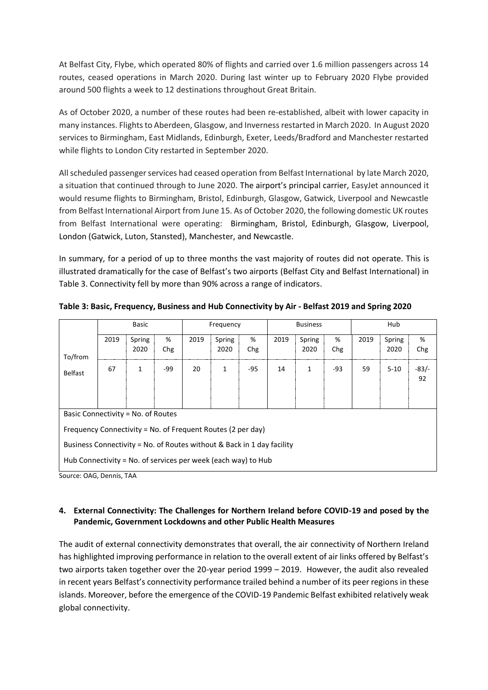At Belfast City, Flybe, which operated 80% of flights and carried over 1.6 million passengers across 14 routes, ceased operations in March 2020. During last winter up to February 2020 Flybe provided around 500 flights a week to 12 destinations throughout Great Britain.

As of October 2020, a number of these routes had been re-established, albeit with lower capacity in many instances. Flights to Aberdeen, Glasgow, and Inverness restarted in March 2020. In August 2020 services to Birmingham, East Midlands, Edinburgh, Exeter, Leeds/Bradford and Manchester restarted while flights to London City restarted in September 2020.

All scheduled passenger services had ceased operation from Belfast International by late March 2020, a situation that continued through to June 2020. The airport's principal carrier, EasyJet announced it would resume flights to Birmingham, Bristol, Edinburgh, Glasgow, Gatwick, Liverpool and Newcastle from Belfast International Airport from June 15. As of October 2020, the following domestic UK routes from Belfast International were operating: Birmingham, Bristol, Edinburgh, Glasgow, Liverpool, London (Gatwick, Luton, Stansted), Manchester, and Newcastle.

In summary, for a period of up to three months the vast majority of routes did not operate. This is illustrated dramatically for the case of Belfast's two airports (Belfast City and Belfast International) in Table 3. Connectivity fell by more than 90% across a range of indicators.

|                                                               |                                                                        | Basic        |     |      | <b>Business</b><br>Frequency |     |      |              |     |      | Hub      |              |  |  |
|---------------------------------------------------------------|------------------------------------------------------------------------|--------------|-----|------|------------------------------|-----|------|--------------|-----|------|----------|--------------|--|--|
|                                                               | 2019                                                                   | Spring       | %   | 2019 | Spring                       | %   | 2019 | Spring       | %   | 2019 | Spring   | %            |  |  |
| To/from                                                       |                                                                        | 2020         | Chg |      | 2020                         | Chg |      | 2020         | Chg |      | 2020     | Chg          |  |  |
| <b>Belfast</b>                                                | 67                                                                     | $\mathbf{1}$ | -99 | 20   | $\mathbf{1}$                 | -95 | 14   | $\mathbf{1}$ | -93 | 59   | $5 - 10$ | $-83/$<br>92 |  |  |
| Basic Connectivity = No. of Routes                            |                                                                        |              |     |      |                              |     |      |              |     |      |          |              |  |  |
|                                                               | Frequency Connectivity = No. of Frequent Routes (2 per day)            |              |     |      |                              |     |      |              |     |      |          |              |  |  |
|                                                               | Business Connectivity = No. of Routes without & Back in 1 day facility |              |     |      |                              |     |      |              |     |      |          |              |  |  |
| Hub Connectivity = No. of services per week (each way) to Hub |                                                                        |              |     |      |                              |     |      |              |     |      |          |              |  |  |

**Table 3: Basic, Frequency, Business and Hub Connectivity by Air - Belfast 2019 and Spring 2020** 

Source: OAG, Dennis, TAA

## **4. External Connectivity: The Challenges for Northern Ireland before COVID-19 and posed by the Pandemic, Government Lockdowns and other Public Health Measures**

The audit of external connectivity demonstrates that overall, the air connectivity of Northern Ireland has highlighted improving performance in relation to the overall extent of air links offered by Belfast's two airports taken together over the 20-year period 1999 – 2019. However, the audit also revealed in recent years Belfast's connectivity performance trailed behind a number of its peer regions in these islands. Moreover, before the emergence of the COVID-19 Pandemic Belfast exhibited relatively weak global connectivity.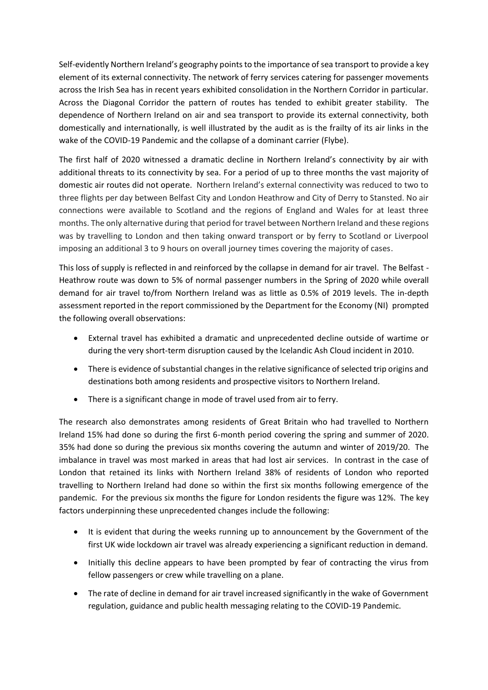Self-evidently Northern Ireland's geography points to the importance of sea transport to provide a key element of its external connectivity. The network of ferry services catering for passenger movements across the Irish Sea has in recent years exhibited consolidation in the Northern Corridor in particular. Across the Diagonal Corridor the pattern of routes has tended to exhibit greater stability. The dependence of Northern Ireland on air and sea transport to provide its external connectivity, both domestically and internationally, is well illustrated by the audit as is the frailty of its air links in the wake of the COVID-19 Pandemic and the collapse of a dominant carrier (Flybe).

The first half of 2020 witnessed a dramatic decline in Northern Ireland's connectivity by air with additional threats to its connectivity by sea. For a period of up to three months the vast majority of domestic air routes did not operate. Northern Ireland's external connectivity was reduced to two to three flights per day between Belfast City and London Heathrow and City of Derry to Stansted. No air connections were available to Scotland and the regions of England and Wales for at least three months. The only alternative during that period for travel between Northern Ireland and these regions was by travelling to London and then taking onward transport or by ferry to Scotland or Liverpool imposing an additional 3 to 9 hours on overall journey times covering the majority of cases.

This loss of supply is reflected in and reinforced by the collapse in demand for air travel. The Belfast - Heathrow route was down to 5% of normal passenger numbers in the Spring of 2020 while overall demand for air travel to/from Northern Ireland was as little as 0.5% of 2019 levels. The in-depth assessment reported in the report commissioned by the Department for the Economy (NI) prompted the following overall observations:

- External travel has exhibited a dramatic and unprecedented decline outside of wartime or during the very short-term disruption caused by the Icelandic Ash Cloud incident in 2010.
- There is evidence of substantial changes in the relative significance of selected trip origins and destinations both among residents and prospective visitors to Northern Ireland.
- There is a significant change in mode of travel used from air to ferry.

The research also demonstrates among residents of Great Britain who had travelled to Northern Ireland 15% had done so during the first 6-month period covering the spring and summer of 2020. 35% had done so during the previous six months covering the autumn and winter of 2019/20. The imbalance in travel was most marked in areas that had lost air services. In contrast in the case of London that retained its links with Northern Ireland 38% of residents of London who reported travelling to Northern Ireland had done so within the first six months following emergence of the pandemic. For the previous six months the figure for London residents the figure was 12%. The key factors underpinning these unprecedented changes include the following:

- It is evident that during the weeks running up to announcement by the Government of the first UK wide lockdown air travel was already experiencing a significant reduction in demand.
- Initially this decline appears to have been prompted by fear of contracting the virus from fellow passengers or crew while travelling on a plane.
- The rate of decline in demand for air travel increased significantly in the wake of Government regulation, guidance and public health messaging relating to the COVID-19 Pandemic.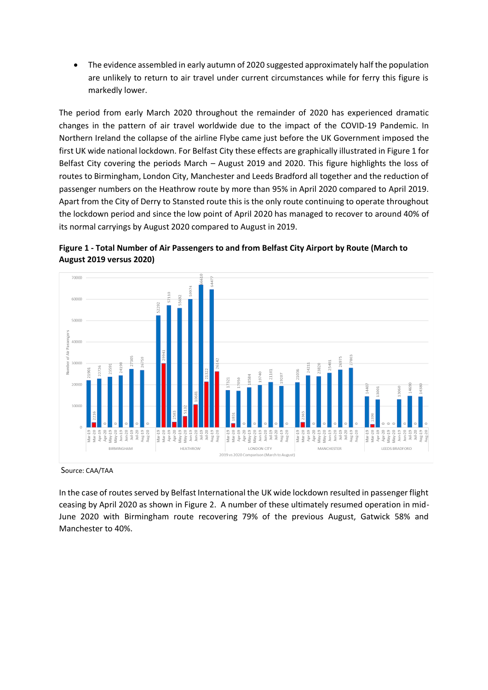• The evidence assembled in early autumn of 2020 suggested approximately half the population are unlikely to return to air travel under current circumstances while for ferry this figure is markedly lower.

The period from early March 2020 throughout the remainder of 2020 has experienced dramatic changes in the pattern of air travel worldwide due to the impact of the COVID-19 Pandemic. In Northern Ireland the collapse of the airline Flybe came just before the UK Government imposed the first UK wide national lockdown. For Belfast City these effects are graphically illustrated in Figure 1 for Belfast City covering the periods March – August 2019 and 2020. This figure highlights the loss of routes to Birmingham, London City, Manchester and Leeds Bradford all together and the reduction of passenger numbers on the Heathrow route by more than 95% in April 2020 compared to April 2019. Apart from the City of Derry to Stansted route this is the only route continuing to operate throughout the lockdown period and since the low point of April 2020 has managed to recover to around 40% of its normal carryings by August 2020 compared to August in 2019.



**Figure 1 - Total Number of Air Passengers to and from Belfast City Airport by Route (March to August 2019 versus 2020)**

Source: CAA/TAA

In the case of routes served by Belfast International the UK wide lockdown resulted in passenger flight ceasing by April 2020 as shown in Figure 2. A number of these ultimately resumed operation in mid-June 2020 with Birmingham route recovering 79% of the previous August, Gatwick 58% and Manchester to 40%.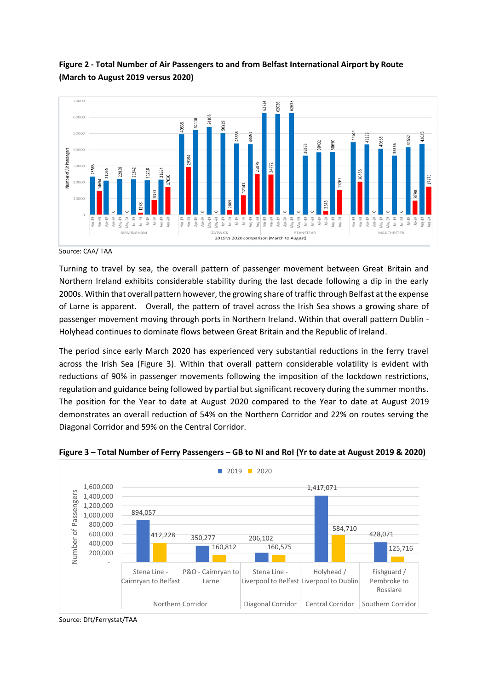

# **Figure 2 - Total Number of Air Passengers to and from Belfast International Airport by Route (March to August 2019 versus 2020)**

Source: CAA/ TAA

Turning to travel by sea, the overall pattern of passenger movement between Great Britain and Northern Ireland exhibits considerable stability during the last decade following a dip in the early 2000s. Within that overall pattern however, the growing share of traffic through Belfast at the expense of Larne is apparent. Overall, the pattern of travel across the Irish Sea shows a growing share of passenger movement moving through ports in Northern Ireland. Within that overall pattern Dublin - Holyhead continues to dominate flows between Great Britain and the Republic of Ireland.

The period since early March 2020 has experienced very substantial reductions in the ferry travel across the Irish Sea (Figure 3). Within that overall pattern considerable volatility is evident with reductions of 90% in passenger movements following the imposition of the lockdown restrictions, regulation and guidance being followed by partial but significant recovery during the summer months. The position for the Year to date at August 2020 compared to the Year to date at August 2019 demonstrates an overall reduction of 54% on the Northern Corridor and 22% on routes serving the Diagonal Corridor and 59% on the Central Corridor.



## **Figure 3 – Total Number of Ferry Passengers – GB to NI and RoI (Yr to date at August 2019 & 2020)**

Source: Dft/Ferrystat/TAA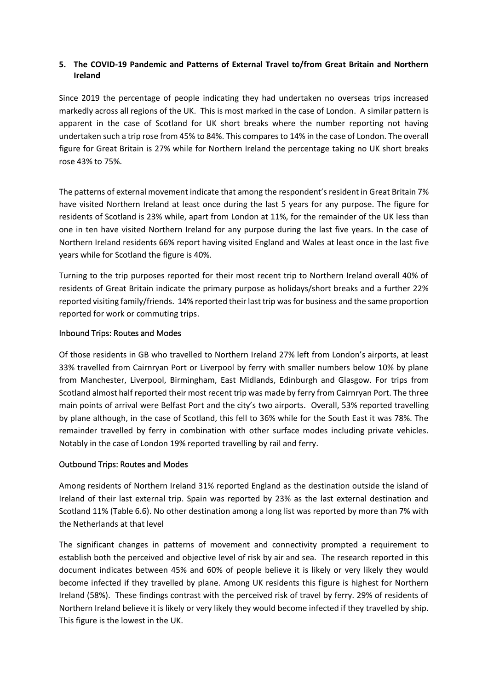## **5. The COVID-19 Pandemic and Patterns of External Travel to/from Great Britain and Northern Ireland**

Since 2019 the percentage of people indicating they had undertaken no overseas trips increased markedly across all regions of the UK. This is most marked in the case of London. A similar pattern is apparent in the case of Scotland for UK short breaks where the number reporting not having undertaken such a trip rose from 45% to 84%. This compares to 14% in the case of London. The overall figure for Great Britain is 27% while for Northern Ireland the percentage taking no UK short breaks rose 43% to 75%.

The patterns of external movement indicate that among the respondent's resident in Great Britain 7% have visited Northern Ireland at least once during the last 5 years for any purpose. The figure for residents of Scotland is 23% while, apart from London at 11%, for the remainder of the UK less than one in ten have visited Northern Ireland for any purpose during the last five years. In the case of Northern Ireland residents 66% report having visited England and Wales at least once in the last five years while for Scotland the figure is 40%.

Turning to the trip purposes reported for their most recent trip to Northern Ireland overall 40% of residents of Great Britain indicate the primary purpose as holidays/short breaks and a further 22% reported visiting family/friends. 14% reported their last trip was for business and the same proportion reported for work or commuting trips.

#### Inbound Trips: Routes and Modes

Of those residents in GB who travelled to Northern Ireland 27% left from London's airports, at least 33% travelled from Cairnryan Port or Liverpool by ferry with smaller numbers below 10% by plane from Manchester, Liverpool, Birmingham, East Midlands, Edinburgh and Glasgow. For trips from Scotland almost half reported their most recent trip was made by ferry from Cairnryan Port. The three main points of arrival were Belfast Port and the city's two airports. Overall, 53% reported travelling by plane although, in the case of Scotland, this fell to 36% while for the South East it was 78%. The remainder travelled by ferry in combination with other surface modes including private vehicles. Notably in the case of London 19% reported travelling by rail and ferry.

## Outbound Trips: Routes and Modes

Among residents of Northern Ireland 31% reported England as the destination outside the island of Ireland of their last external trip. Spain was reported by 23% as the last external destination and Scotland 11% (Table 6.6). No other destination among a long list was reported by more than 7% with the Netherlands at that level

The significant changes in patterns of movement and connectivity prompted a requirement to establish both the perceived and objective level of risk by air and sea. The research reported in this document indicates between 45% and 60% of people believe it is likely or very likely they would become infected if they travelled by plane. Among UK residents this figure is highest for Northern Ireland (58%). These findings contrast with the perceived risk of travel by ferry. 29% of residents of Northern Ireland believe it is likely or very likely they would become infected if they travelled by ship. This figure is the lowest in the UK.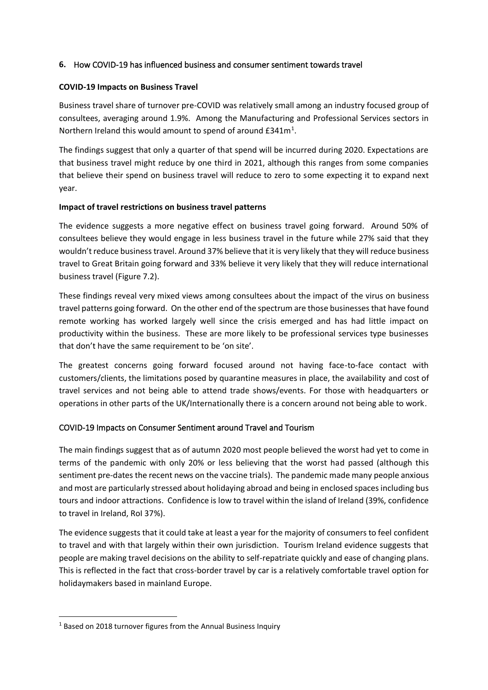### **6.** How COVID-19 has influenced business and consumer sentiment towards travel

#### **COVID-19 Impacts on Business Travel**

Business travel share of turnover pre-COVID was relatively small among an industry focused group of consultees, averaging around 1.9%. Among the Manufacturing and Professional Services sectors in Northern Ireland this would amount to spend of around  $E341m<sup>1</sup>$ .

The findings suggest that only a quarter of that spend will be incurred during 2020. Expectations are that business travel might reduce by one third in 2021, although this ranges from some companies that believe their spend on business travel will reduce to zero to some expecting it to expand next year.

#### **Impact of travel restrictions on business travel patterns**

The evidence suggests a more negative effect on business travel going forward. Around 50% of consultees believe they would engage in less business travel in the future while 27% said that they wouldn't reduce business travel. Around 37% believe that it is very likely that they will reduce business travel to Great Britain going forward and 33% believe it very likely that they will reduce international business travel (Figure 7.2).

These findings reveal very mixed views among consultees about the impact of the virus on business travel patterns going forward. On the other end of the spectrum are those businesses that have found remote working has worked largely well since the crisis emerged and has had little impact on productivity within the business. These are more likely to be professional services type businesses that don't have the same requirement to be 'on site'.

The greatest concerns going forward focused around not having face-to-face contact with customers/clients, the limitations posed by quarantine measures in place, the availability and cost of travel services and not being able to attend trade shows/events. For those with headquarters or operations in other parts of the UK/Internationally there is a concern around not being able to work.

## COVID-19 Impacts on Consumer Sentiment around Travel and Tourism

The main findings suggest that as of autumn 2020 most people believed the worst had yet to come in terms of the pandemic with only 20% or less believing that the worst had passed (although this sentiment pre-dates the recent news on the vaccine trials). The pandemic made many people anxious and most are particularly stressed about holidaying abroad and being in enclosed spaces including bus tours and indoor attractions. Confidence is low to travel within the island of Ireland (39%, confidence to travel in Ireland, RoI 37%).

The evidence suggests that it could take at least a year for the majority of consumers to feel confident to travel and with that largely within their own jurisdiction. Tourism Ireland evidence suggests that people are making travel decisions on the ability to self-repatriate quickly and ease of changing plans. This is reflected in the fact that cross-border travel by car is a relatively comfortable travel option for holidaymakers based in mainland Europe.

<sup>&</sup>lt;sup>1</sup> Based on 2018 turnover figures from the Annual Business Inquiry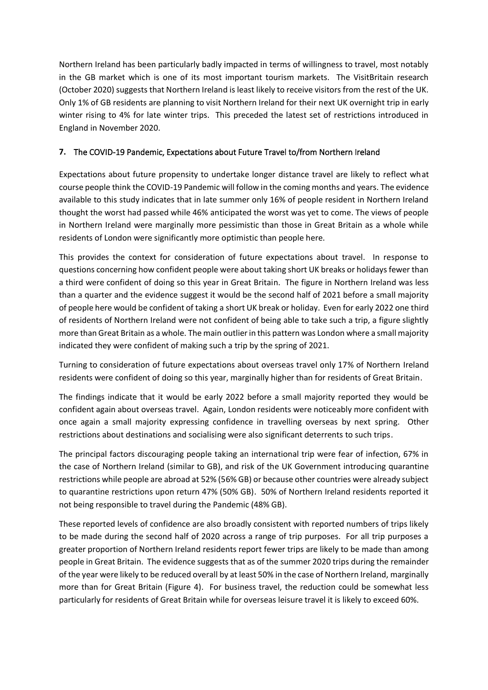Northern Ireland has been particularly badly impacted in terms of willingness to travel, most notably in the GB market which is one of its most important tourism markets. The VisitBritain research (October 2020) suggests that Northern Ireland is least likely to receive visitors from the rest of the UK. Only 1% of GB residents are planning to visit Northern Ireland for their next UK overnight trip in early winter rising to 4% for late winter trips. This preceded the latest set of restrictions introduced in England in November 2020.

# **7.** The COVID-19 Pandemic, Expectations about Future Travel to/from Northern Ireland

Expectations about future propensity to undertake longer distance travel are likely to reflect what course people think the COVID-19 Pandemic will follow in the coming months and years. The evidence available to this study indicates that in late summer only 16% of people resident in Northern Ireland thought the worst had passed while 46% anticipated the worst was yet to come. The views of people in Northern Ireland were marginally more pessimistic than those in Great Britain as a whole while residents of London were significantly more optimistic than people here.

This provides the context for consideration of future expectations about travel. In response to questions concerning how confident people were about taking short UK breaks or holidays fewer than a third were confident of doing so this year in Great Britain. The figure in Northern Ireland was less than a quarter and the evidence suggest it would be the second half of 2021 before a small majority of people here would be confident of taking a short UK break or holiday. Even for early 2022 one third of residents of Northern Ireland were not confident of being able to take such a trip, a figure slightly more than Great Britain as a whole. The main outlier in this pattern was London where a small majority indicated they were confident of making such a trip by the spring of 2021.

Turning to consideration of future expectations about overseas travel only 17% of Northern Ireland residents were confident of doing so this year, marginally higher than for residents of Great Britain.

The findings indicate that it would be early 2022 before a small majority reported they would be confident again about overseas travel. Again, London residents were noticeably more confident with once again a small majority expressing confidence in travelling overseas by next spring. Other restrictions about destinations and socialising were also significant deterrents to such trips.

The principal factors discouraging people taking an international trip were fear of infection, 67% in the case of Northern Ireland (similar to GB), and risk of the UK Government introducing quarantine restrictions while people are abroad at 52% (56% GB) or because other countries were already subject to quarantine restrictions upon return 47% (50% GB). 50% of Northern Ireland residents reported it not being responsible to travel during the Pandemic (48% GB).

These reported levels of confidence are also broadly consistent with reported numbers of trips likely to be made during the second half of 2020 across a range of trip purposes. For all trip purposes a greater proportion of Northern Ireland residents report fewer trips are likely to be made than among people in Great Britain. The evidence suggests that as of the summer 2020 trips during the remainder of the year were likely to be reduced overall by at least 50% in the case of Northern Ireland, marginally more than for Great Britain (Figure 4). For business travel, the reduction could be somewhat less particularly for residents of Great Britain while for overseas leisure travel it is likely to exceed 60%.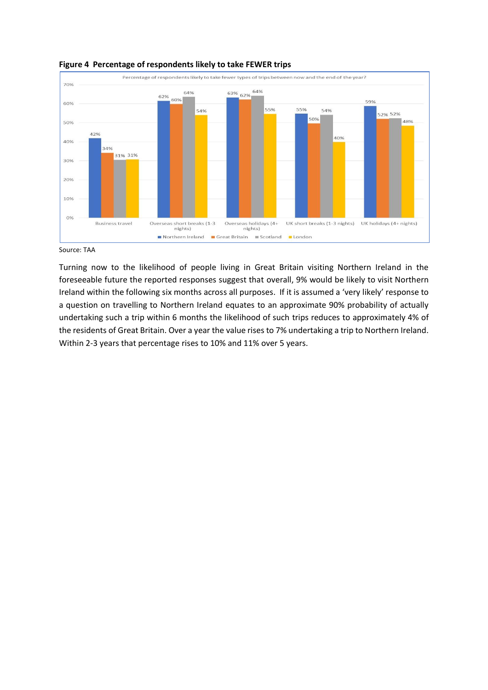

#### **Figure 4 Percentage of respondents likely to take FEWER trips**

Source: TAA

Turning now to the likelihood of people living in Great Britain visiting Northern Ireland in the foreseeable future the reported responses suggest that overall, 9% would be likely to visit Northern Ireland within the following six months across all purposes. If it is assumed a 'very likely' response to a question on travelling to Northern Ireland equates to an approximate 90% probability of actually undertaking such a trip within 6 months the likelihood of such trips reduces to approximately 4% of the residents of Great Britain. Over a year the value rises to 7% undertaking a trip to Northern Ireland. Within 2-3 years that percentage rises to 10% and 11% over 5 years.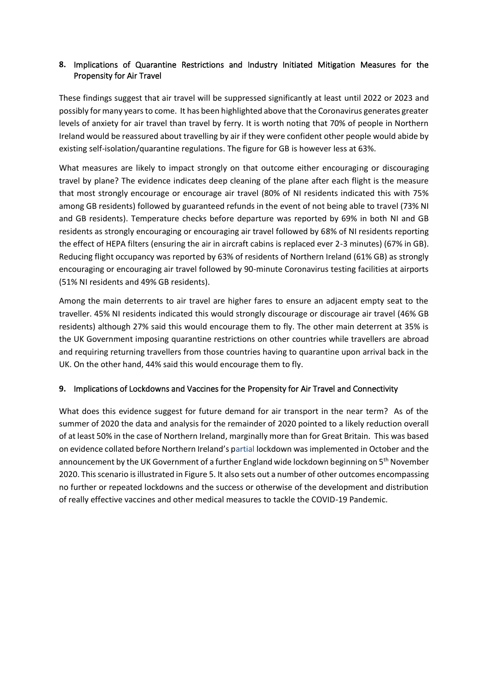# **8.** Implications of Quarantine Restrictions and Industry Initiated Mitigation Measures for the Propensity for Air Travel

These findings suggest that air travel will be suppressed significantly at least until 2022 or 2023 and possibly for many years to come. It has been highlighted above that the Coronavirus generates greater levels of anxiety for air travel than travel by ferry. It is worth noting that 70% of people in Northern Ireland would be reassured about travelling by air if they were confident other people would abide by existing self-isolation/quarantine regulations. The figure for GB is however less at 63%.

What measures are likely to impact strongly on that outcome either encouraging or discouraging travel by plane? The evidence indicates deep cleaning of the plane after each flight is the measure that most strongly encourage or encourage air travel (80% of NI residents indicated this with 75% among GB residents) followed by guaranteed refunds in the event of not being able to travel (73% NI and GB residents). Temperature checks before departure was reported by 69% in both NI and GB residents as strongly encouraging or encouraging air travel followed by 68% of NI residents reporting the effect of HEPA filters (ensuring the air in aircraft cabins is replaced ever 2-3 minutes) (67% in GB). Reducing flight occupancy was reported by 63% of residents of Northern Ireland (61% GB) as strongly encouraging or encouraging air travel followed by 90-minute Coronavirus testing facilities at airports (51% NI residents and 49% GB residents).

Among the main deterrents to air travel are higher fares to ensure an adjacent empty seat to the traveller. 45% NI residents indicated this would strongly discourage or discourage air travel (46% GB residents) although 27% said this would encourage them to fly. The other main deterrent at 35% is the UK Government imposing quarantine restrictions on other countries while travellers are abroad and requiring returning travellers from those countries having to quarantine upon arrival back in the UK. On the other hand, 44% said this would encourage them to fly.

## **9.** Implications of Lockdowns and Vaccines for the Propensity for Air Travel and Connectivity

What does this evidence suggest for future demand for air transport in the near term? As of the summer of 2020 the data and analysis for the remainder of 2020 pointed to a likely reduction overall of at least 50% in the case of Northern Ireland, marginally more than for Great Britain. This was based on evidence collated before Northern Ireland's partial lockdown was implemented in October and the announcement by the UK Government of a further England wide lockdown beginning on 5<sup>th</sup> November 2020. This scenario is illustrated in Figure 5. It also sets out a number of other outcomes encompassing no further or repeated lockdowns and the success or otherwise of the development and distribution of really effective vaccines and other medical measures to tackle the COVID-19 Pandemic.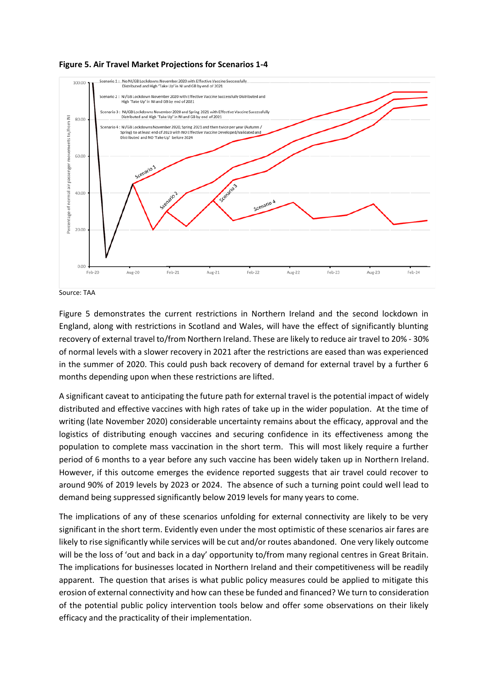



Source: TAA

Figure 5 demonstrates the current restrictions in Northern Ireland and the second lockdown in England, along with restrictions in Scotland and Wales, will have the effect of significantly blunting recovery of external travel to/from Northern Ireland. These are likely to reduce air travel to 20% - 30% of normal levels with a slower recovery in 2021 after the restrictions are eased than was experienced in the summer of 2020. This could push back recovery of demand for external travel by a further 6 months depending upon when these restrictions are lifted.

A significant caveat to anticipating the future path for external travel is the potential impact of widely distributed and effective vaccines with high rates of take up in the wider population. At the time of writing (late November 2020) considerable uncertainty remains about the efficacy, approval and the logistics of distributing enough vaccines and securing confidence in its effectiveness among the population to complete mass vaccination in the short term. This will most likely require a further period of 6 months to a year before any such vaccine has been widely taken up in Northern Ireland. However, if this outcome emerges the evidence reported suggests that air travel could recover to around 90% of 2019 levels by 2023 or 2024. The absence of such a turning point could well lead to demand being suppressed significantly below 2019 levels for many years to come.

The implications of any of these scenarios unfolding for external connectivity are likely to be very significant in the short term. Evidently even under the most optimistic of these scenarios air fares are likely to rise significantly while services will be cut and/or routes abandoned. One very likely outcome will be the loss of 'out and back in a day' opportunity to/from many regional centres in Great Britain. The implications for businesses located in Northern Ireland and their competitiveness will be readily apparent. The question that arises is what public policy measures could be applied to mitigate this erosion of external connectivity and how can these be funded and financed? We turn to consideration of the potential public policy intervention tools below and offer some observations on their likely efficacy and the practicality of their implementation.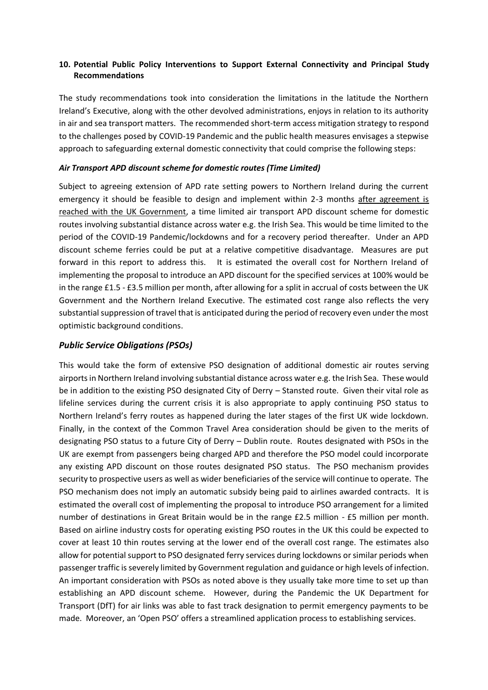## **10. Potential Public Policy Interventions to Support External Connectivity and Principal Study Recommendations**

The study recommendations took into consideration the limitations in the latitude the Northern Ireland's Executive, along with the other devolved administrations, enjoys in relation to its authority in air and sea transport matters. The recommended short-term access mitigation strategy to respond to the challenges posed by COVID-19 Pandemic and the public health measures envisages a stepwise approach to safeguarding external domestic connectivity that could comprise the following steps:

### *Air Transport APD discount scheme for domestic routes (Time Limited)*

Subject to agreeing extension of APD rate setting powers to Northern Ireland during the current emergency it should be feasible to design and implement within 2-3 months after agreement is reached with the UK Government, a time limited air transport APD discount scheme for domestic routes involving substantial distance across water e.g. the Irish Sea. This would be time limited to the period of the COVID-19 Pandemic/lockdowns and for a recovery period thereafter. Under an APD discount scheme ferries could be put at a relative competitive disadvantage. Measures are put forward in this report to address this. It is estimated the overall cost for Northern Ireland of implementing the proposal to introduce an APD discount for the specified services at 100% would be in the range £1.5 - £3.5 million per month, after allowing for a split in accrual of costs between the UK Government and the Northern Ireland Executive. The estimated cost range also reflects the very substantial suppression of travel that is anticipated during the period of recovery even under the most optimistic background conditions.

## *Public Service Obligations (PSOs)*

This would take the form of extensive PSO designation of additional domestic air routes serving airports in Northern Ireland involving substantial distance across water e.g. the Irish Sea. These would be in addition to the existing PSO designated City of Derry – Stansted route. Given their vital role as lifeline services during the current crisis it is also appropriate to apply continuing PSO status to Northern Ireland's ferry routes as happened during the later stages of the first UK wide lockdown. Finally, in the context of the Common Travel Area consideration should be given to the merits of designating PSO status to a future City of Derry – Dublin route. Routes designated with PSOs in the UK are exempt from passengers being charged APD and therefore the PSO model could incorporate any existing APD discount on those routes designated PSO status. The PSO mechanism provides security to prospective users as well as wider beneficiaries of the service will continue to operate. The PSO mechanism does not imply an automatic subsidy being paid to airlines awarded contracts. It is estimated the overall cost of implementing the proposal to introduce PSO arrangement for a limited number of destinations in Great Britain would be in the range £2.5 million - £5 million per month. Based on airline industry costs for operating existing PSO routes in the UK this could be expected to cover at least 10 thin routes serving at the lower end of the overall cost range. The estimates also allow for potential support to PSO designated ferry services during lockdowns or similar periods when passenger traffic is severely limited by Government regulation and guidance or high levels of infection. An important consideration with PSOs as noted above is they usually take more time to set up than establishing an APD discount scheme. However, during the Pandemic the UK Department for Transport (DfT) for air links was able to fast track designation to permit emergency payments to be made. Moreover, an 'Open PSO' offers a streamlined application process to establishing services.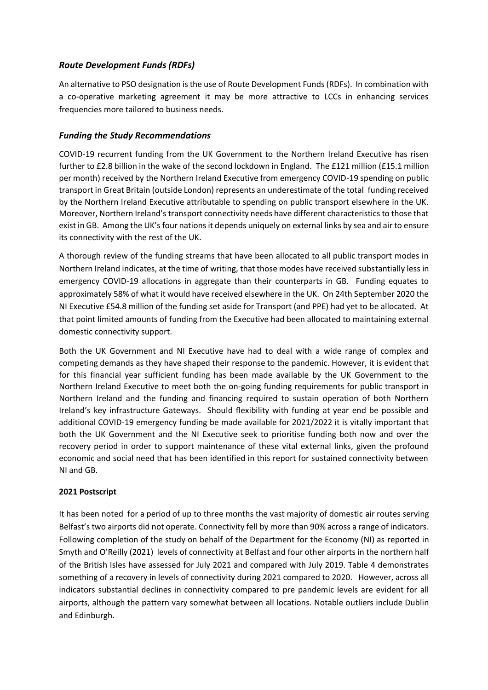# *Route Development Funds (RDFs)*

An alternative to PSO designation is the use of Route Development Funds (RDFs). In combination with a co-operative marketing agreement it may be more attractive to LCCs in enhancing services frequencies more tailored to business needs.

## *Funding the Study Recommendations*

COVID-19 recurrent funding from the UK Government to the Northern Ireland Executive has risen further to £2.8 billion in the wake of the second lockdown in England. The £121 million (£15.1 million per month) received by the Northern Ireland Executive from emergency COVID-19 spending on public transport in Great Britain (outside London) represents an underestimate of the total funding received by the Northern Ireland Executive attributable to spending on public transport elsewhere in the UK. Moreover, Northern Ireland's transport connectivity needs have different characteristics to those that exist in GB. Among the UK's four nations it depends uniquely on external links by sea and air to ensure its connectivity with the rest of the UK.

A thorough review of the funding streams that have been allocated to all public transport modes in Northern Ireland indicates, at the time of writing, that those modes have received substantially less in emergency COVID-19 allocations in aggregate than their counterparts in GB. Funding equates to approximately 58% of what it would have received elsewhere in the UK. On 24th September 2020 the NI Executive £54.8 million of the funding set aside for Transport (and PPE) had yet to be allocated. At that point limited amounts of funding from the Executive had been allocated to maintaining external domestic connectivity support.

Both the UK Government and NI Executive have had to deal with a wide range of complex and competing demands as they have shaped their response to the pandemic. However, it is evident that for this financial year sufficient funding has been made available by the UK Government to the Northern Ireland Executive to meet both the on-going funding requirements for public transport in Northern Ireland and the funding and financing required to sustain operation of both Northern Ireland's key infrastructure Gateways. Should flexibility with funding at year end be possible and additional COVID-19 emergency funding be made available for 2021/2022 it is vitally important that both the UK Government and the NI Executive seek to prioritise funding both now and over the recovery period in order to support maintenance of these vital external links, given the profound economic and social need that has been identified in this report for sustained connectivity between NI and GB.

## **2021 Postscript**

It has been noted for a period of up to three months the vast majority of domestic air routes serving Belfast's two airports did not operate. Connectivity fell by more than 90% across a range of indicators. Following completion of the study on behalf of the Department for the Economy (NI) as reported in Smyth and O'Reilly (2021) levels of connectivity at Belfast and four other airports in the northern half of the British Isles have assessed for July 2021 and compared with July 2019. Table 4 demonstrates something of a recovery in levels of connectivity during 2021 compared to 2020. However, across all indicators substantial declines in connectivity compared to pre pandemic levels are evident for all airports, although the pattern vary somewhat between all locations. Notable outliers include Dublin and Edinburgh.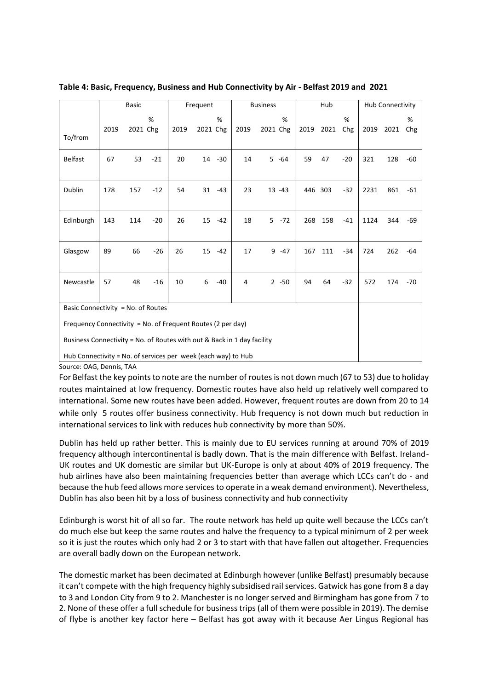|                                                               | <b>Basic</b>                                                                                                                           |          |       |      | Frequent |           |      | Hub<br><b>Business</b> |           |     |           | Hub Connectivity |      |      |          |
|---------------------------------------------------------------|----------------------------------------------------------------------------------------------------------------------------------------|----------|-------|------|----------|-----------|------|------------------------|-----------|-----|-----------|------------------|------|------|----------|
| To/from                                                       | 2019                                                                                                                                   | 2021 Chg | %     | 2019 | 2021 Chg | %         | 2019 | 2021 Chg               | %         |     | 2019 2021 | %<br>Chg         | 2019 | 2021 | %<br>Chg |
| <b>Belfast</b>                                                | 67                                                                                                                                     | 53       | $-21$ | 20   | 14       | $-30$     | 14   |                        | $5 - 64$  | 59  | 47        | $-20$            | 321  | 128  | -60      |
| Dublin                                                        | 178                                                                                                                                    | 157      | $-12$ | 54   |          | $31 - 43$ | 23   |                        | $13 - 43$ |     | 446 303   | $-32$            | 2231 | 861  | -61      |
| Edinburgh                                                     | 143                                                                                                                                    | 114      | $-20$ | 26   | 15       | $-42$     | 18   |                        | $5 - 72$  | 268 | 158       | $-41$            | 1124 | 344  | -69      |
| Glasgow                                                       | 89                                                                                                                                     | 66       | $-26$ | 26   | 15       | $-42$     | 17   |                        | $9 - 47$  | 167 | 111       | $-34$            | 724  | 262  | -64      |
| Newcastle                                                     | 57                                                                                                                                     | 48       | $-16$ | 10   | 6        | $-40$     | 4    |                        | $2 - 50$  | 94  | 64        | $-32$            | 572  | 174  | -70      |
| Basic Connectivity = No. of Routes                            |                                                                                                                                        |          |       |      |          |           |      |                        |           |     |           |                  |      |      |          |
|                                                               | Frequency Connectivity = No. of Frequent Routes (2 per day)<br>Business Connectivity = No. of Routes with out & Back in 1 day facility |          |       |      |          |           |      |                        |           |     |           |                  |      |      |          |
| Hub Connectivity = No. of services per week (each way) to Hub |                                                                                                                                        |          |       |      |          |           |      |                        |           |     |           |                  |      |      |          |
| Source: OAG, Dennis, TAA                                      |                                                                                                                                        |          |       |      |          |           |      |                        |           |     |           |                  |      |      |          |

**Table 4: Basic, Frequency, Business and Hub Connectivity by Air - Belfast 2019 and 2021**

For Belfast the key points to note are the number of routes is not down much (67 to 53) due to holiday routes maintained at low frequency. Domestic routes have also held up relatively well compared to international. Some new routes have been added. However, frequent routes are down from 20 to 14 while only 5 routes offer business connectivity. Hub frequency is not down much but reduction in international services to link with reduces hub connectivity by more than 50%.

Dublin has held up rather better. This is mainly due to EU services running at around 70% of 2019 frequency although intercontinental is badly down. That is the main difference with Belfast. Ireland-UK routes and UK domestic are similar but UK-Europe is only at about 40% of 2019 frequency. The hub airlines have also been maintaining frequencies better than average which LCCs can't do - and because the hub feed allows more services to operate in a weak demand environment). Nevertheless, Dublin has also been hit by a loss of business connectivity and hub connectivity

Edinburgh is worst hit of all so far. The route network has held up quite well because the LCCs can't do much else but keep the same routes and halve the frequency to a typical minimum of 2 per week so it is just the routes which only had 2 or 3 to start with that have fallen out altogether. Frequencies are overall badly down on the European network.

The domestic market has been decimated at Edinburgh however (unlike Belfast) presumably because it can't compete with the high frequency highly subsidised rail services. Gatwick has gone from 8 a day to 3 and London City from 9 to 2. Manchester is no longer served and Birmingham has gone from 7 to 2. None of these offer a full schedule for business trips (all of them were possible in 2019). The demise of flybe is another key factor here – Belfast has got away with it because Aer Lingus Regional has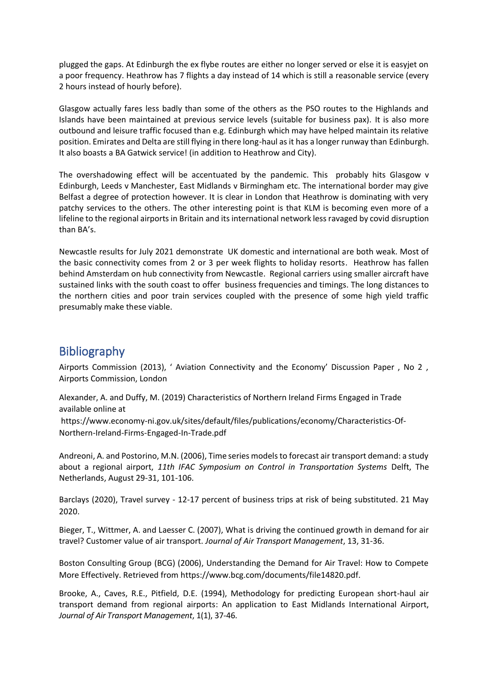plugged the gaps. At Edinburgh the ex flybe routes are either no longer served or else it is easyjet on a poor frequency. Heathrow has 7 flights a day instead of 14 which is still a reasonable service (every 2 hours instead of hourly before).

Glasgow actually fares less badly than some of the others as the PSO routes to the Highlands and Islands have been maintained at previous service levels (suitable for business pax). It is also more outbound and leisure traffic focused than e.g. Edinburgh which may have helped maintain its relative position. Emirates and Delta are still flying in there long-haul as it has a longer runway than Edinburgh. It also boasts a BA Gatwick service! (in addition to Heathrow and City).

The overshadowing effect will be accentuated by the pandemic. This probably hits Glasgow v Edinburgh, Leeds v Manchester, East Midlands v Birmingham etc. The international border may give Belfast a degree of protection however. It is clear in London that Heathrow is dominating with very patchy services to the others. The other interesting point is that KLM is becoming even more of a lifeline to the regional airports in Britain and its international network less ravaged by covid disruption than BA's.

Newcastle results for July 2021 demonstrate UK domestic and international are both weak. Most of the basic connectivity comes from 2 or 3 per week flights to holiday resorts. Heathrow has fallen behind Amsterdam on hub connectivity from Newcastle. Regional carriers using smaller aircraft have sustained links with the south coast to offer business frequencies and timings. The long distances to the northern cities and poor train services coupled with the presence of some high yield traffic presumably make these viable.

# Bibliography

Airports Commission (2013), ' Aviation Connectivity and the Economy' Discussion Paper , No 2 , Airports Commission, London

Alexander, A. and Duffy, M. (2019) Characteristics of Northern Ireland Firms Engaged in Trade available online at

https://www.economy-ni.gov.uk/sites/default/files/publications/economy/Characteristics-Of-Northern-Ireland-Firms-Engaged-In-Trade.pdf

Andreoni, A. and Postorino, M.N. (2006), Time series models to forecast air transport demand: a study about a regional airport, *11th IFAC Symposium on Control in Transportation Systems* Delft, The Netherlands, August 29-31, 101-106.

Barclays (2020), Travel survey - 12-17 percent of business trips at risk of being substituted. 21 May 2020.

Bieger, T., Wittmer, A. and Laesser C. (2007), What is driving the continued growth in demand for air travel? Customer value of air transport. *Journal of Air Transport Management*, 13, 31-36.

Boston Consulting Group (BCG) (2006), Understanding the Demand for Air Travel: How to Compete More Effectively. Retrieved from https://www.bcg.com/documents/file14820.pdf.

Brooke, A., Caves, R.E., Pitfield, D.E. (1994), Methodology for predicting European short-haul air transport demand from regional airports: An application to East Midlands International Airport, *Journal of Air Transport Management*, 1(1), 37-46.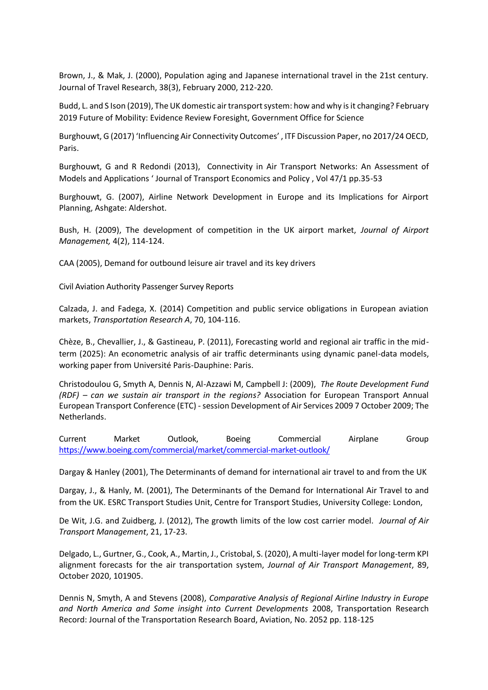Brown, J., & Mak, J. (2000), Population aging and Japanese international travel in the 21st century. Journal of Travel Research, 38(3), February 2000, 212-220.

Budd, L. and S Ison (2019), The UK domestic air transport system: how and why is it changing? February 2019 Future of Mobility: Evidence Review Foresight, Government Office for Science

Burghouwt, G (2017) 'Influencing Air Connectivity Outcomes', ITF Discussion Paper, no 2017/24 OECD, Paris.

Burghouwt, G and R Redondi (2013), Connectivity in Air Transport Networks: An Assessment of Models and Applications ' Journal of Transport Economics and Policy , Vol 47/1 pp.35-53

Burghouwt, G. (2007), Airline Network Development in Europe and its Implications for Airport Planning, Ashgate: Aldershot.

Bush, H. (2009), The development of competition in the UK airport market, *Journal of Airport Management,* 4(2), 114-124.

CAA (2005), Demand for outbound leisure air travel and its key drivers

Civil Aviation Authority Passenger Survey Reports

Calzada, J. and Fadega, X. (2014) Competition and public service obligations in European aviation markets, *Transportation Research A*, 70, 104-116.

Chèze, B., Chevallier, J., & Gastineau, P. (2011), Forecasting world and regional air traffic in the midterm (2025): An econometric analysis of air traffic determinants using dynamic panel-data models, working paper from Université Paris-Dauphine: Paris.

Christodoulou G, Smyth A, Dennis N, Al-Azzawi M, Campbell J: (2009), *The Route Development Fund (RDF) – can we sustain air transport in the regions?* Association for European Transport Annual European Transport Conference (ETC) - session Development of Air Services 2009 7 October 2009; The Netherlands.

Current Market Outlook, Boeing Commercial Airplane Group <https://www.boeing.com/commercial/market/commercial-market-outlook/>

Dargay & Hanley (2001), The Determinants of demand for international air travel to and from the UK

Dargay, J., & Hanly, M. (2001), The Determinants of the Demand for International Air Travel to and from the UK. ESRC Transport Studies Unit, Centre for Transport Studies, University College: London,

De Wit, J.G. and Zuidberg, J. (2012), The growth limits of the low cost carrier model. *Journal of Air Transport Management*, 21, 17-23.

Delgado, L., Gurtner, G., Cook, A., Martin, J., Cristobal, S. (2020), A multi-layer model for long-term KPI alignment forecasts for the air transportation system, *Journal of Air Transport Management*, 89, October 2020, 101905.

Dennis N, Smyth, A and Stevens (2008), *Comparative Analysis of Regional Airline Industry in Europe and North America and Some insight into Current Developments* 2008, Transportation Research Record: Journal of the Transportation Research Board, Aviation, No. 2052 pp. 118-125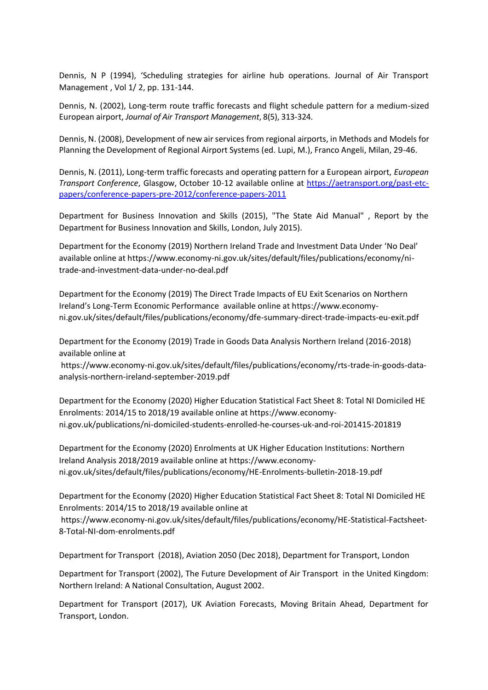Dennis, N P (1994), 'Scheduling strategies for airline hub operations. Journal of Air Transport Management , Vol 1/ 2, pp. 131-144.

Dennis, N. (2002), Long-term route traffic forecasts and flight schedule pattern for a medium-sized European airport, *Journal of Air Transport Management*, 8(5), 313-324.

Dennis, N. (2008), Development of new air services from regional airports, in Methods and Models for Planning the Development of Regional Airport Systems (ed. Lupi, M.), Franco Angeli, Milan, 29-46.

Dennis, N. (2011), Long-term traffic forecasts and operating pattern for a European airport, *European Transport Conference*, Glasgow, October 10-12 available online at [https://aetransport.org/past-etc](https://aetransport.org/past-etc-papers/conference-papers-pre-2012/conference-papers-2011)[papers/conference-papers-pre-2012/conference-papers-2011](https://aetransport.org/past-etc-papers/conference-papers-pre-2012/conference-papers-2011)

Department for Business Innovation and Skills (2015), "The State Aid Manual" , Report by the Department for Business Innovation and Skills, London, July 2015).

Department for the Economy (2019) Northern Ireland Trade and Investment Data Under 'No Deal' available online at https://www.economy-ni.gov.uk/sites/default/files/publications/economy/nitrade-and-investment-data-under-no-deal.pdf

Department for the Economy (2019) The Direct Trade Impacts of EU Exit Scenarios on Northern Ireland's Long-Term Economic Performance available online at https://www.economyni.gov.uk/sites/default/files/publications/economy/dfe-summary-direct-trade-impacts-eu-exit.pdf

Department for the Economy (2019) Trade in Goods Data Analysis Northern Ireland (2016-2018) available online at

https://www.economy-ni.gov.uk/sites/default/files/publications/economy/rts-trade-in-goods-dataanalysis-northern-ireland-september-2019.pdf

Department for the Economy (2020) Higher Education Statistical Fact Sheet 8: Total NI Domiciled HE Enrolments: 2014/15 to 2018/19 available online at https://www.economyni.gov.uk/publications/ni-domiciled-students-enrolled-he-courses-uk-and-roi-201415-201819

Department for the Economy (2020) Enrolments at UK Higher Education Institutions: Northern Ireland Analysis 2018/2019 available online at https://www.economyni.gov.uk/sites/default/files/publications/economy/HE-Enrolments-bulletin-2018-19.pdf

Department for the Economy (2020) Higher Education Statistical Fact Sheet 8: Total NI Domiciled HE Enrolments: 2014/15 to 2018/19 available online at

https://www.economy-ni.gov.uk/sites/default/files/publications/economy/HE-Statistical-Factsheet-8-Total-NI-dom-enrolments.pdf

Department for Transport (2018), Aviation 2050 (Dec 2018), Department for Transport, London

Department for Transport (2002), The Future Development of Air Transport in the United Kingdom: Northern Ireland: A National Consultation, August 2002.

Department for Transport (2017), UK Aviation Forecasts, Moving Britain Ahead, Department for Transport, London.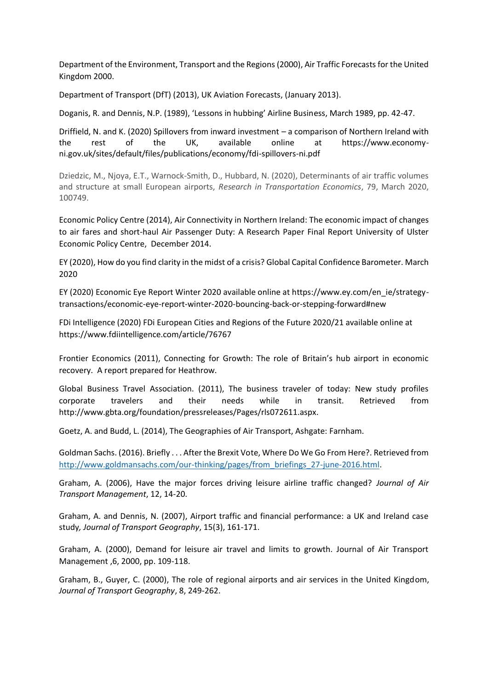Department of the Environment, Transport and the Regions (2000), Air Traffic Forecasts for the United Kingdom 2000.

Department of Transport (DfT) (2013), UK Aviation Forecasts, (January 2013).

Doganis, R. and Dennis, N.P. (1989), 'Lessons in hubbing' Airline Business, March 1989, pp. 42-47.

Driffield, N. and K. (2020) Spillovers from inward investment – a comparison of Northern Ireland with the rest of the UK, available online at https://www.economyni.gov.uk/sites/default/files/publications/economy/fdi-spillovers-ni.pdf

Dziedzic, M., Njoya, E.T., Warnock-Smith, D., Hubbard, N. (2020), Determinants of air traffic volumes and structure at small European airports, *Research in Transportation Economics*, 79, March 2020, 100749.

Economic Policy Centre (2014), Air Connectivity in Northern Ireland: The economic impact of changes to air fares and short-haul Air Passenger Duty: A Research Paper Final Report University of Ulster Economic Policy Centre, December 2014.

EY (2020), How do you find clarity in the midst of a crisis? Global Capital Confidence Barometer. March 2020

EY (2020) Economic Eye Report Winter 2020 available online at https://www.ey.com/en\_ie/strategytransactions/economic-eye-report-winter-2020-bouncing-back-or-stepping-forward#new

FDi Intelligence (2020) FDi European Cities and Regions of the Future 2020/21 available online at https://www.fdiintelligence.com/article/76767

Frontier Economics (2011), Connecting for Growth: The role of Britain's hub airport in economic recovery. A report prepared for Heathrow.

Global Business Travel Association. (2011), The business traveler of today: New study profiles corporate travelers and their needs while in transit. Retrieved from http://www.gbta.org/foundation/pressreleases/Pages/rls072611.aspx.

Goetz, A. and Budd, L. (2014), The Geographies of Air Transport, Ashgate: Farnham.

Goldman Sachs. (2016). Briefly . . . After the Brexit Vote, Where Do We Go From Here?. Retrieved from [http://www.goldmansachs.com/our-thinking/pages/from\\_briefings\\_27-june-2016.html.](http://www.goldmansachs.com/our-thinking/pages/from_briefings_27-june-2016.html)

Graham, A. (2006), Have the major forces driving leisure airline traffic changed? *Journal of Air Transport Management*, 12, 14-20.

Graham, A. and Dennis, N. (2007), Airport traffic and financial performance: a UK and Ireland case study*, Journal of Transport Geography*, 15(3), 161-171.

Graham, A. (2000), Demand for leisure air travel and limits to growth. Journal of Air Transport Management ,6, 2000, pp. 109-118.

Graham, B., Guyer, C. (2000), The role of regional airports and air services in the United Kingdom, *Journal of Transport Geography*, 8, 249-262.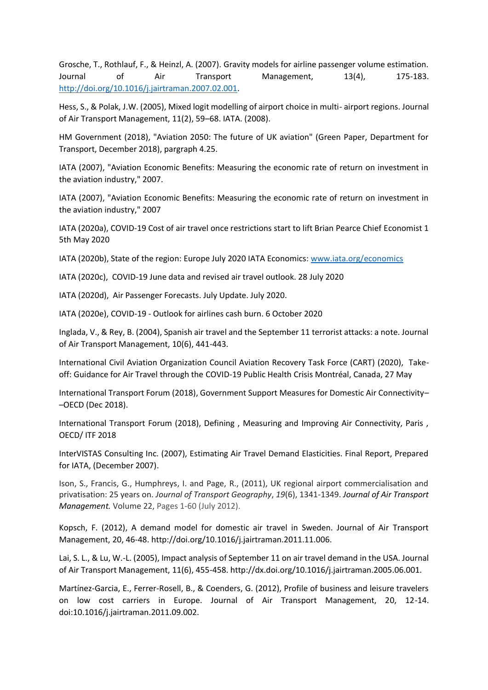Grosche, T., Rothlauf, F., & Heinzl, A. (2007). Gravity models for airline passenger volume estimation. Journal of Air Transport Management, 13(4), 175-183. [http://doi.org/10.1016/j.jairtraman.2007.02.001.](http://doi.org/10.1016/j.jairtraman.2007.02.001)

Hess, S., & Polak, J.W. (2005), Mixed logit modelling of airport choice in multi- airport regions. Journal of Air Transport Management, 11(2), 59–68. IATA. (2008).

HM Government (2018), "Aviation 2050: The future of UK aviation" (Green Paper, Department for Transport, December 2018), pargraph 4.25.

IATA (2007), "Aviation Economic Benefits: Measuring the economic rate of return on investment in the aviation industry," 2007.

IATA (2007), "Aviation Economic Benefits: Measuring the economic rate of return on investment in the aviation industry," 2007

IATA (2020a), COVID-19 Cost of air travel once restrictions start to lift Brian Pearce Chief Economist 1 5th May 2020

IATA (2020b), State of the region: Europe July 2020 IATA Economics: [www.iata.org/economics](http://www.iata.org/economics)

IATA (2020c), COVID-19 June data and revised air travel outlook. 28 July 2020

IATA (2020d), Air Passenger Forecasts. July Update. July 2020.

IATA (2020e), COVID-19 - Outlook for airlines cash burn. 6 October 2020

Inglada, V., & Rey, B. (2004), Spanish air travel and the September 11 terrorist attacks: a note. Journal of Air Transport Management, 10(6), 441-443.

International Civil Aviation Organization Council Aviation Recovery Task Force (CART) (2020), Takeoff: Guidance for Air Travel through the COVID-19 Public Health Crisis Montréal, Canada, 27 May

International Transport Forum (2018), Government Support Measures for Domestic Air Connectivity– –OECD (Dec 2018).

International Transport Forum (2018), Defining , Measuring and Improving Air Connectivity, Paris , OECD/ ITF 2018

InterVISTAS Consulting Inc. (2007), Estimating Air Travel Demand Elasticities. Final Report, Prepared for IATA, (December 2007).

Ison, S., Francis, G., Humphreys, I. and Page, R., (2011), UK regional airport commercialisation and privatisation: 25 years on. *Journal of Transport Geography*, *19*(6), 1341-1349. *Journal of Air Transport Management.* Volume 22, Pages 1-60 (July 2012).

Kopsch, F. (2012), A demand model for domestic air travel in Sweden. Journal of Air Transport Management, 20, 46-48. http://doi.org/10.1016/j.jairtraman.2011.11.006.

Lai, S. L., & Lu, W.-L. (2005), Impact analysis of September 11 on air travel demand in the USA. Journal of Air Transport Management, 11(6), 455-458. http://dx.doi.org/10.1016/j.jairtraman.2005.06.001.

Martínez-Garcia, E., Ferrer-Rosell, B., & Coenders, G. (2012), Profile of business and leisure travelers on low cost carriers in Europe. Journal of Air Transport Management, 20, 12-14. doi:10.1016/j.jairtraman.2011.09.002.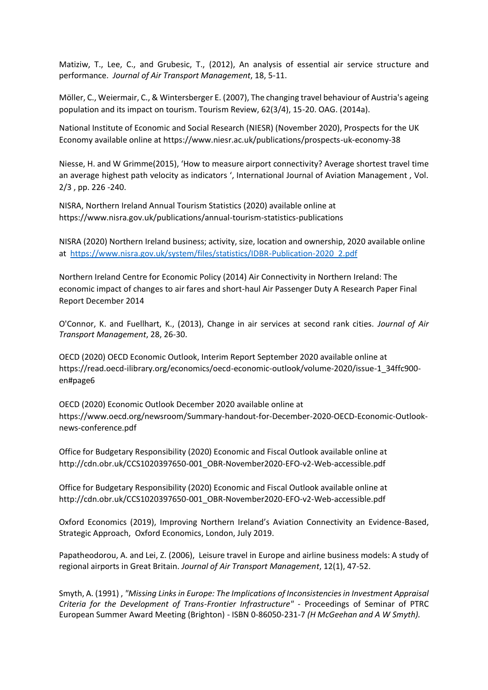Matiziw, T., Lee, C., and Grubesic, T., (2012), An analysis of essential air service structure and performance. *Journal of Air Transport Management*, 18, 5-11.

Möller, C., Weiermair, C., & Wintersberger E. (2007), The changing travel behaviour of Austria's ageing population and its impact on tourism. Tourism Review, 62(3/4), 15-20. OAG. (2014a).

National Institute of Economic and Social Research (NIESR) (November 2020), Prospects for the UK Economy available online at https://www.niesr.ac.uk/publications/prospects-uk-economy-38

Niesse, H. and W Grimme(2015), 'How to measure airport connectivity? Average shortest travel time an average highest path velocity as indicators ', International Journal of Aviation Management , Vol. 2/3 , pp. 226 -240.

NISRA, Northern Ireland Annual Tourism Statistics (2020) available online at https://www.nisra.gov.uk/publications/annual-tourism-statistics-publications

NISRA (2020) Northern Ireland business; activity, size, location and ownership, 2020 available online at [https://www.nisra.gov.uk/system/files/statistics/IDBR-Publication-2020\\_2.pdf](https://www.nisra.gov.uk/system/files/statistics/IDBR-Publication-2020_2.pdf)

Northern Ireland Centre for Economic Policy (2014) Air Connectivity in Northern Ireland: The economic impact of changes to air fares and short-haul Air Passenger Duty A Research Paper Final Report December 2014

O'Connor, K. and Fuellhart, K., (2013), Change in air services at second rank cities. *Journal of Air Transport Management*, 28, 26-30.

OECD (2020) OECD Economic Outlook, Interim Report September 2020 available online at https://read.oecd-ilibrary.org/economics/oecd-economic-outlook/volume-2020/issue-1\_34ffc900 en#page6

OECD (2020) Economic Outlook December 2020 available online at https://www.oecd.org/newsroom/Summary-handout-for-December-2020-OECD-Economic-Outlooknews-conference.pdf

Office for Budgetary Responsibility (2020) Economic and Fiscal Outlook available online at http://cdn.obr.uk/CCS1020397650-001\_OBR-November2020-EFO-v2-Web-accessible.pdf

Office for Budgetary Responsibility (2020) Economic and Fiscal Outlook available online at http://cdn.obr.uk/CCS1020397650-001\_OBR-November2020-EFO-v2-Web-accessible.pdf

Oxford Economics (2019), Improving Northern Ireland's Aviation Connectivity an Evidence-Based, Strategic Approach, Oxford Economics, London, July 2019.

Papatheodorou, A. and Lei, Z. (2006), Leisure travel in Europe and airline business models: A study of regional airports in Great Britain. *Journal of Air Transport Management*, 12(1), 47-52.

Smyth, A. (1991) , *"Missing Links in Europe: The Implications of Inconsistencies in Investment Appraisal Criteria for the Development of Trans-Frontier Infrastructure"* - Proceedings of Seminar of PTRC European Summer Award Meeting (Brighton) - ISBN 0-86050-231-7 *(H McGeehan and A W Smyth).*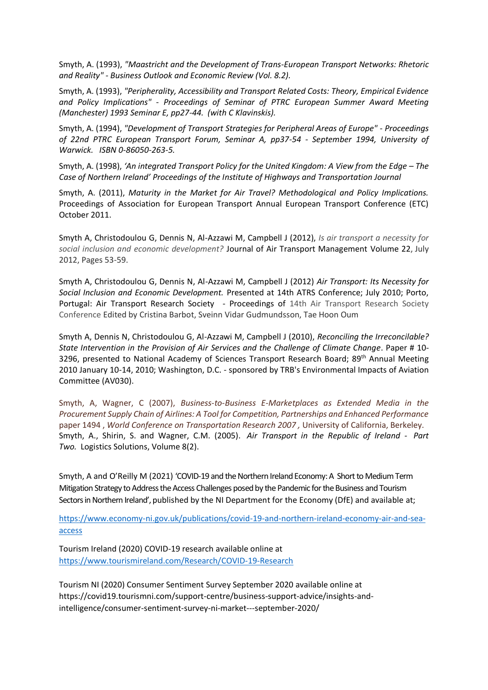Smyth, A. (1993), *"Maastricht and the Development of Trans-European Transport Networks: Rhetoric and Reality" - Business Outlook and Economic Review (Vol. 8.2).*

Smyth, A. (1993), *"Peripherality, Accessibility and Transport Related Costs: Theory, Empirical Evidence and Policy Implications"* - *Proceedings of Seminar of PTRC European Summer Award Meeting (Manchester) 1993 Seminar E, pp27-44. (with C Klavinskis).*

Smyth, A. (1994), *"Development of Transport Strategies for Peripheral Areas of Europe"* - *Proceedings of 22nd PTRC European Transport Forum, Seminar A, pp37-54 - September 1994, University of Warwick. ISBN 0-86050-263-5.*

Smyth, A. (1998), *'An integrated Transport Policy for the United Kingdom: A View from the Edge – The Case of Northern Ireland' Proceedings of the Institute of Highways and Transportation Journal*

Smyth, A. (2011), *Maturity in the Market for Air Travel? Methodological and Policy Implications.* Proceedings of Association for European Transport Annual European Transport Conference (ETC) October 2011.

Smyth A, Christodoulou G, Dennis N, Al-Azzawi M, Campbell J (2012), *Is air transport a necessity for social inclusion and economic development?* [Journal of Air Transport Management](https://www.sciencedirect.com/science/journal/09696997) [Volume 22,](https://www.sciencedirect.com/science/journal/09696997/22/supp/C) July 2012, Pages 53-59.

Smyth A, Christodoulou G, Dennis N, Al-Azzawi M, Campbell J (2012) *Air Transport: Its Necessity for Social Inclusion and Economic Development.* Presented at 14th ATRS Conference; July 2010; Porto, Portugal: Air Transport Research Society - Proceedings of 14th Air Transport Research Society Conference Edited by Cristina Barbot, Sveinn Vidar Gudmundsson, Tae Hoon Oum

Smyth A, Dennis N, Christodoulou G, Al-Azzawi M, Campbell J (2010), *Reconciling the Irreconcilable? State Intervention in the Provision of Air Services and the Challenge of Climate Change*. Paper # 10- 3296, presented to National Academy of Sciences Transport Research Board; 89<sup>th</sup> Annual Meeting 2010 January 10-14, 2010; Washington, D.C. - sponsored by TRB's Environmental Impacts of Aviation Committee (AV030).

Smyth, A, Wagner, C (2007), *Business-to-Business E-Marketplaces as Extended Media in the Procurement Supply Chain of Airlines: A Tool for Competition, Partnerships and Enhanced Performance* paper 1494 , *World Conference on Transportation Research 2007 ,* University of California, Berkeley. Smyth, A., Shirin, S. and Wagner, C.M. (2005). *Air Transport in the Republic of Ireland - Part Two.* Logistics Solutions, Volume 8(2).

Smyth, A and O'Reilly M (2021) 'COVID-19 and the Northern Ireland Economy: A Short to Medium Term Mitigation Strategy to Address the Access Challenges posed by the Pandemic for the Business and Tourism Sectors in Northern Ireland', published by the NI Department for the Economy (DfE) and available at;

[https://www.economy-ni.gov.uk/publications/covid-19-and-northern-ireland-economy-air-and-sea](https://www.economy-ni.gov.uk/publications/covid-19-and-northern-ireland-economy-air-and-sea-access)[access](https://www.economy-ni.gov.uk/publications/covid-19-and-northern-ireland-economy-air-and-sea-access)

Tourism Ireland (2020) COVID-19 research available online at <https://www.tourismireland.com/Research/COVID-19-Research>

Tourism NI (2020) Consumer Sentiment Survey September 2020 available online at https://covid19.tourismni.com/support-centre/business-support-advice/insights-andintelligence/consumer-sentiment-survey-ni-market---september-2020/